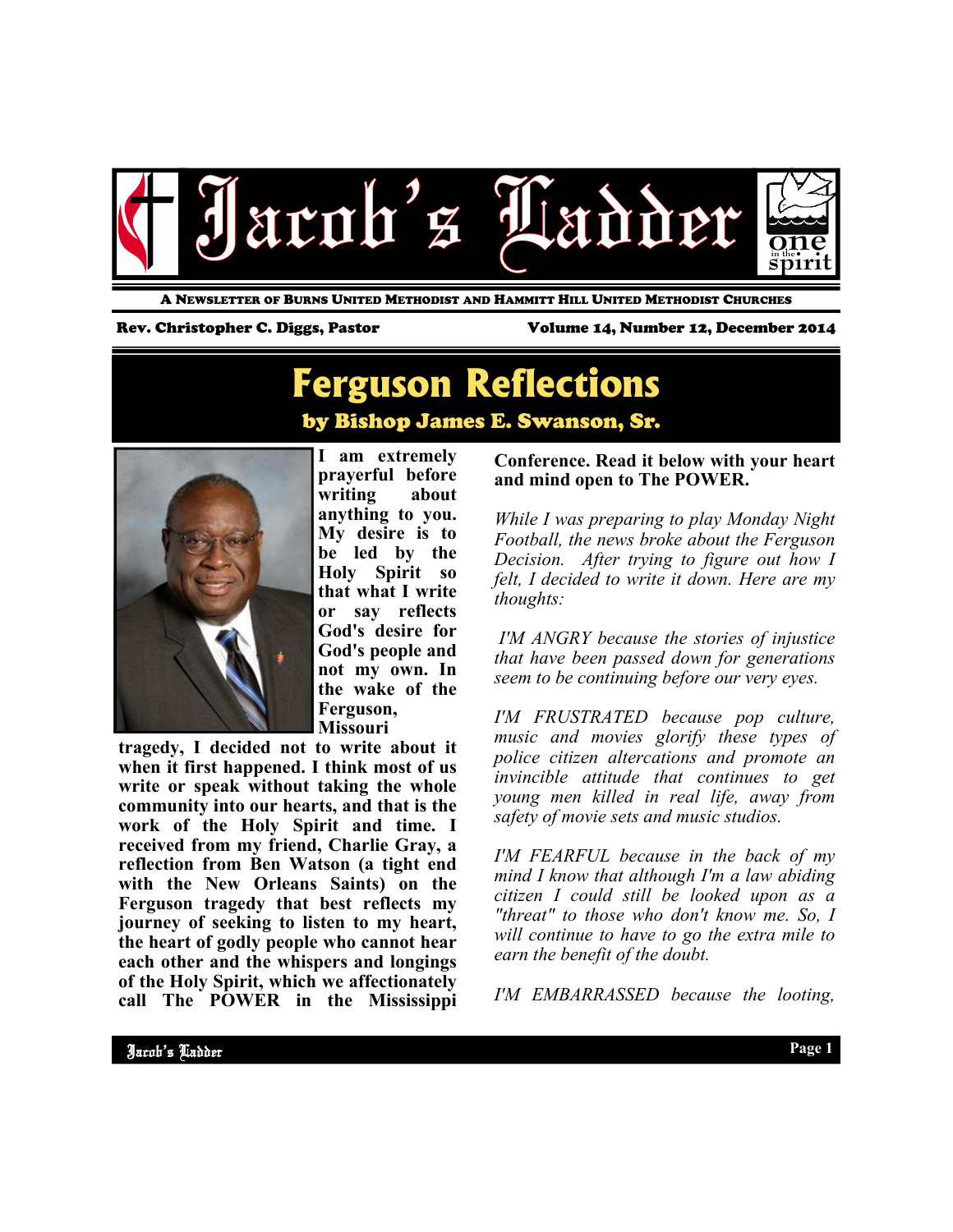

A NEWSLETTER OF BURNS UNITED METHODIST AND HAMMITT HILL UNITED METHODIST CHURCHES

Rev. Christopher C. Diggs, Pastor Volume 14, Number 12, December 2014

## **Ferguson Reflections**  by Bishop James E. Swanson, Sr.



**I am extremely prayerful before writing about anything to you. My desire is to be led by the Holy Spirit so that what I write or say reflects God's desire for God's people and not my own. In the wake of the Ferguson, Missouri** 

**tragedy, I decided not to write about it when it first happened. I think most of us write or speak without taking the whole community into our hearts, and that is the work of the Holy Spirit and time. I received from my friend, Charlie Gray, a reflection from Ben Watson (a tight end with the New Orleans Saints) on the Ferguson tragedy that best reflects my journey of seeking to listen to my heart, the heart of godly people who cannot hear each other and the whispers and longings of the Holy Spirit, which we affectionately call The POWER in the Mississippi** 

#### **Conference. Read it below with your heart and mind open to The POWER.**

*While I was preparing to play Monday Night Football, the news broke about the Ferguson Decision. After trying to figure out how I felt, I decided to write it down. Here are my thoughts:* 

 *I'M ANGRY because the stories of injustice that have been passed down for generations seem to be continuing before our very eyes.* 

*I'M FRUSTRATED because pop culture, music and movies glorify these types of police citizen altercations and promote an invincible attitude that continues to get young men killed in real life, away from safety of movie sets and music studios.* 

*I'M FEARFUL because in the back of my mind I know that although I'm a law abiding citizen I could still be looked upon as a "threat" to those who don't know me. So, I will continue to have to go the extra mile to earn the benefit of the doubt.* 

*I'M EMBARRASSED because the looting,*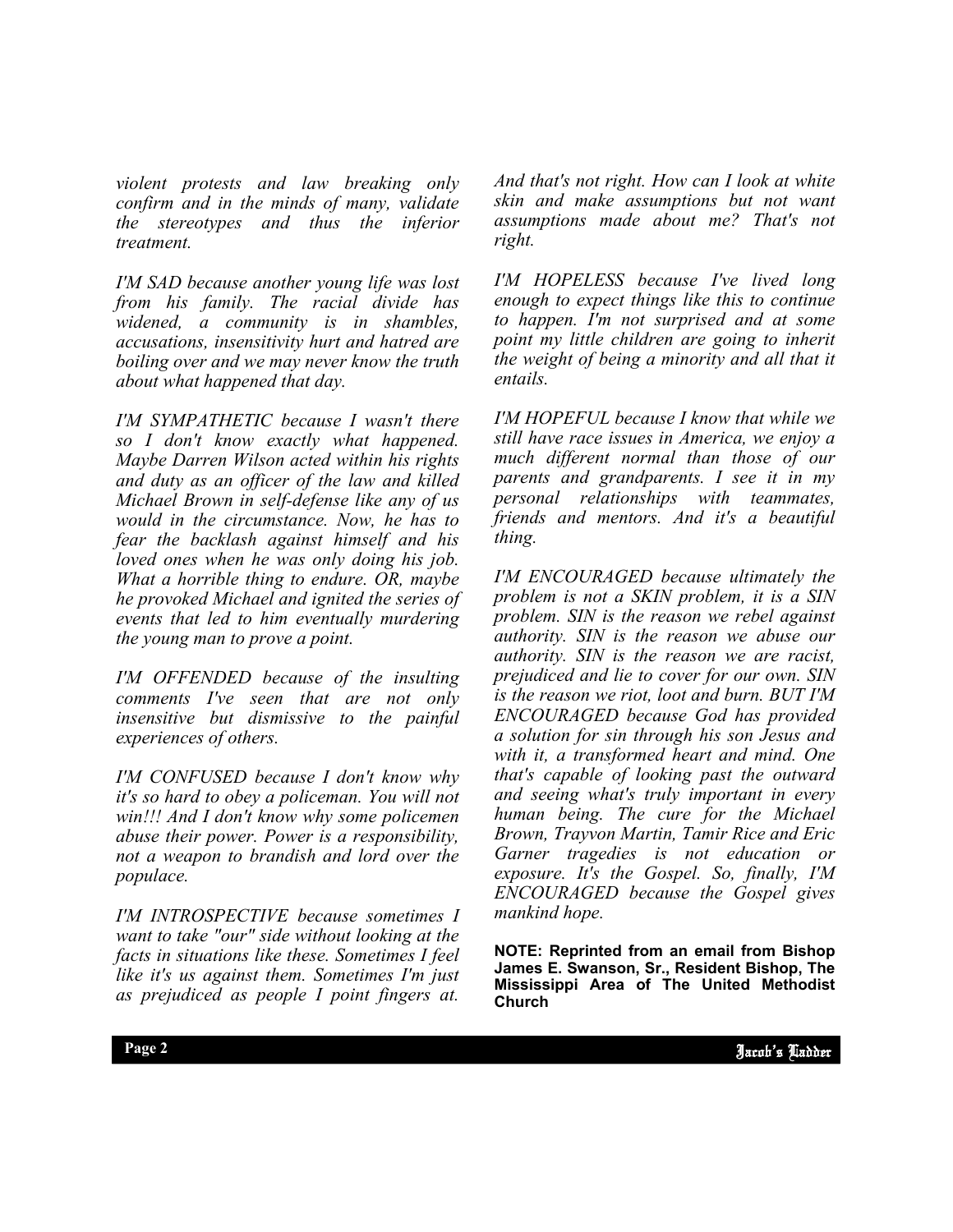*violent protests and law breaking only confirm and in the minds of many, validate the stereotypes and thus the inferior treatment.* 

*I'M SAD because another young life was lost from his family. The racial divide has widened, a community is in shambles, accusations, insensitivity hurt and hatred are boiling over and we may never know the truth about what happened that day.* 

*I'M SYMPATHETIC because I wasn't there so I don't know exactly what happened. Maybe Darren Wilson acted within his rights and duty as an officer of the law and killed Michael Brown in self-defense like any of us would in the circumstance. Now, he has to fear the backlash against himself and his loved ones when he was only doing his job. What a horrible thing to endure. OR, maybe he provoked Michael and ignited the series of events that led to him eventually murdering the young man to prove a point.* 

*I'M OFFENDED because of the insulting comments I've seen that are not only insensitive but dismissive to the painful experiences of others.* 

*I'M CONFUSED because I don't know why it's so hard to obey a policeman. You will not win!!! And I don't know why some policemen abuse their power. Power is a responsibility, not a weapon to brandish and lord over the populace.* 

*I'M INTROSPECTIVE because sometimes I want to take "our" side without looking at the facts in situations like these. Sometimes I feel like it's us against them. Sometimes I'm just as prejudiced as people I point fingers at.*  *And that's not right. How can I look at white skin and make assumptions but not want assumptions made about me? That's not right.* 

*I'M HOPELESS because I've lived long enough to expect things like this to continue to happen. I'm not surprised and at some point my little children are going to inherit the weight of being a minority and all that it entails.* 

*I'M HOPEFUL because I know that while we still have race issues in America, we enjoy a much different normal than those of our parents and grandparents. I see it in my personal relationships with teammates, friends and mentors. And it's a beautiful thing.* 

*I'M ENCOURAGED because ultimately the problem is not a SKIN problem, it is a SIN problem. SIN is the reason we rebel against authority. SIN is the reason we abuse our authority. SIN is the reason we are racist, prejudiced and lie to cover for our own. SIN is the reason we riot, loot and burn. BUT I'M ENCOURAGED because God has provided a solution for sin through his son Jesus and with it, a transformed heart and mind. One that's capable of looking past the outward and seeing what's truly important in every human being. The cure for the Michael Brown, Trayvon Martin, Tamir Rice and Eric Garner tragedies is not education or exposure. It's the Gospel. So, finally, I'M ENCOURAGED because the Gospel gives mankind hope.* 

**James E. Swanson, Sr., Resident Bishop, The NOTE: Reprinted from an email from Bishop Mississippi Area of The United Methodist Church**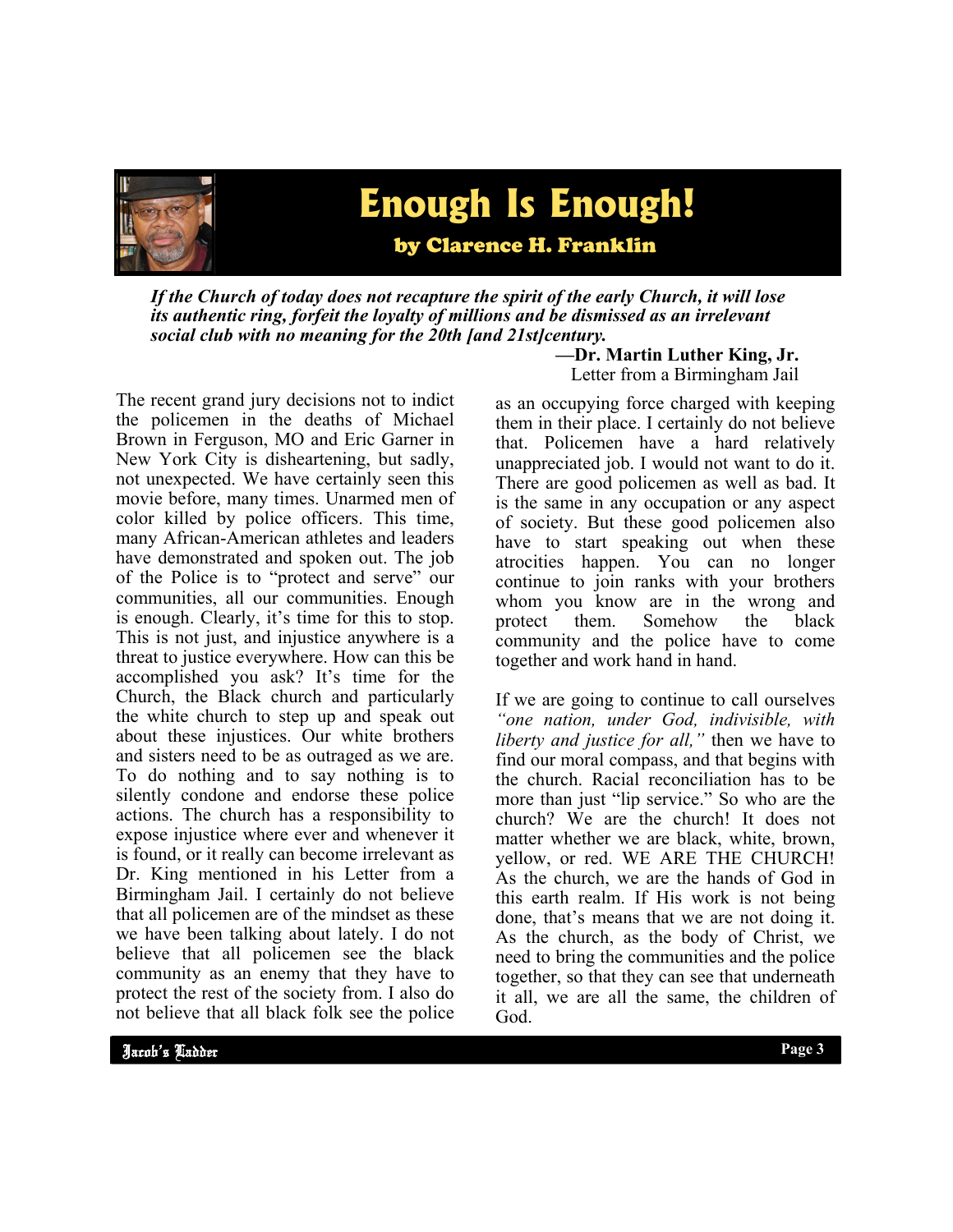

## **Enough Is Enough!**

by Clarence H. Franklin

*If the Church of today does not recapture the spirit of the early Church, it will lose its authentic ring, forfeit the loyalty of millions and be dismissed as an irrelevant social club with no meaning for the 20th [and 21st]century.* 

The recent grand jury decisions not to indict the policemen in the deaths of Michael Brown in Ferguson, MO and Eric Garner in New York City is disheartening, but sadly, not unexpected. We have certainly seen this movie before, many times. Unarmed men of color killed by police officers. This time, many African-American athletes and leaders have demonstrated and spoken out. The job of the Police is to "protect and serve" our communities, all our communities. Enough is enough. Clearly, it's time for this to stop. This is not just, and injustice anywhere is a threat to justice everywhere. How can this be accomplished you ask? It's time for the Church, the Black church and particularly the white church to step up and speak out about these injustices. Our white brothers and sisters need to be as outraged as we are. To do nothing and to say nothing is to silently condone and endorse these police actions. The church has a responsibility to expose injustice where ever and whenever it is found, or it really can become irrelevant as Dr. King mentioned in his Letter from a Birmingham Jail. I certainly do not believe that all policemen are of the mindset as these we have been talking about lately. I do not believe that all policemen see the black community as an enemy that they have to protect the rest of the society from. I also do not believe that all black folk see the police

#### **—Dr. Martin Luther King, Jr.**  Letter from a Birmingham Jail

as an occupying force charged with keeping them in their place. I certainly do not believe that. Policemen have a hard relatively unappreciated job. I would not want to do it. There are good policemen as well as bad. It is the same in any occupation or any aspect of society. But these good policemen also have to start speaking out when these atrocities happen. You can no longer continue to join ranks with your brothers whom you know are in the wrong and protect them. Somehow the black community and the police have to come together and work hand in hand.

If we are going to continue to call ourselves *"one nation, under God, indivisible, with liberty and justice for all,"* then we have to find our moral compass, and that begins with the church. Racial reconciliation has to be more than just "lip service." So who are the church? We are the church! It does not matter whether we are black, white, brown, yellow, or red. WE ARE THE CHURCH! As the church, we are the hands of God in this earth realm. If His work is not being done, that's means that we are not doing it. As the church, as the body of Christ, we need to bring the communities and the police together, so that they can see that underneath it all, we are all the same, the children of God.